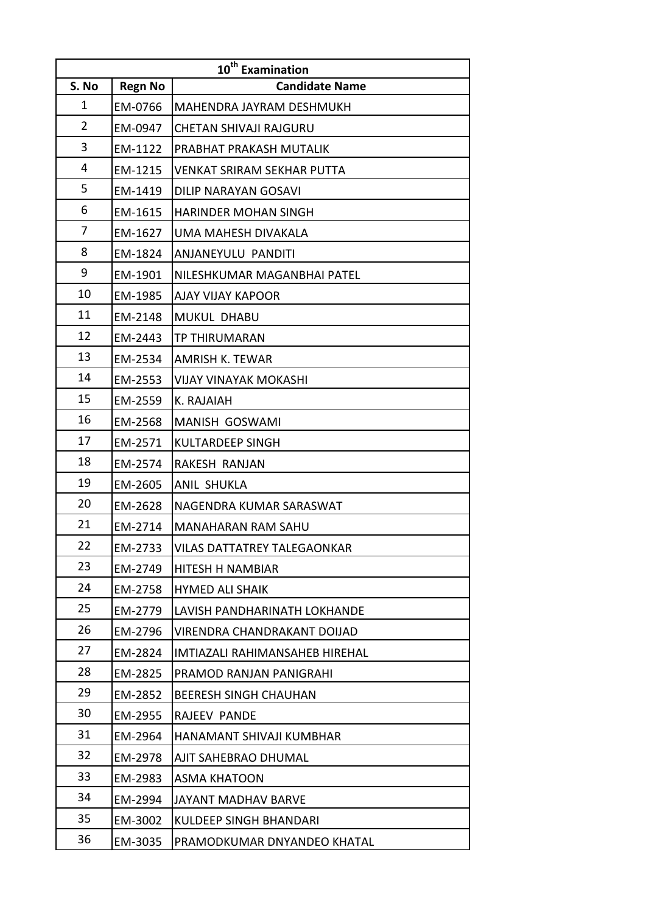|                | 10 <sup>th</sup> Examination |                                |  |  |  |
|----------------|------------------------------|--------------------------------|--|--|--|
| S. No          | <b>Regn No</b>               | <b>Candidate Name</b>          |  |  |  |
| 1              | EM-0766                      | MAHENDRA JAYRAM DESHMUKH       |  |  |  |
| $\overline{2}$ | EM-0947                      | CHETAN SHIVAJI RAJGURU         |  |  |  |
| 3              | EM-1122                      | PRABHAT PRAKASH MUTALIK        |  |  |  |
| 4              | EM-1215                      | VENKAT SRIRAM SEKHAR PUTTA     |  |  |  |
| 5              | EM-1419                      | DILIP NARAYAN GOSAVI           |  |  |  |
| 6              | EM-1615                      | <b>HARINDER MOHAN SINGH</b>    |  |  |  |
| 7              | EM-1627                      | UMA MAHESH DIVAKALA            |  |  |  |
| 8              | EM-1824                      | ANJANEYULU PANDITI             |  |  |  |
| 9              | EM-1901                      | NILESHKUMAR MAGANBHAI PATEL    |  |  |  |
| 10             | EM-1985                      | AJAY VIJAY KAPOOR              |  |  |  |
| 11             | EM-2148                      | <b>MUKUL DHABU</b>             |  |  |  |
| 12             | EM-2443                      | <b>TP THIRUMARAN</b>           |  |  |  |
| 13             | EM-2534                      | AMRISH K. TEWAR                |  |  |  |
| 14             | EM-2553                      | <b>VIJAY VINAYAK MOKASHI</b>   |  |  |  |
| 15             | EM-2559                      | K. RAJAIAH                     |  |  |  |
| 16             | EM-2568                      | <b>MANISH GOSWAMI</b>          |  |  |  |
| 17             | EM-2571                      | <b>KULTARDEEP SINGH</b>        |  |  |  |
| 18             | EM-2574                      | RAKESH RANJAN                  |  |  |  |
| 19             | EM-2605                      | ANIL SHUKLA                    |  |  |  |
| 20             | EM-2628                      | NAGENDRA KUMAR SARASWAT        |  |  |  |
| 21             | EM-2714                      | <b>MANAHARAN RAM SAHU</b>      |  |  |  |
| 22             | EM-2733                      | VILAS DATTATREY TALEGAONKAR    |  |  |  |
| 23             | EM-2749                      | HITESH H NAMBIAR               |  |  |  |
| 24             | EM-2758                      | <b>HYMED ALI SHAIK</b>         |  |  |  |
| 25             | EM-2779                      | LAVISH PANDHARINATH LOKHANDE   |  |  |  |
| 26             | EM-2796                      | VIRENDRA CHANDRAKANT DOIJAD    |  |  |  |
| 27             | EM-2824                      | IMTIAZALI RAHIMANSAHEB HIREHAL |  |  |  |
| 28             | EM-2825                      | PRAMOD RANJAN PANIGRAHI        |  |  |  |
| 29             | EM-2852                      | <b>BEERESH SINGH CHAUHAN</b>   |  |  |  |
| 30             | EM-2955                      | RAJEEV PANDE                   |  |  |  |
| 31             | EM-2964                      | HANAMANT SHIVAJI KUMBHAR       |  |  |  |
| 32             | EM-2978                      | AJIT SAHEBRAO DHUMAL           |  |  |  |
| 33             | EM-2983                      | <b>ASMA KHATOON</b>            |  |  |  |
| 34             | EM-2994                      | JAYANT MADHAV BARVE            |  |  |  |
| 35             | EM-3002                      | <b>KULDEEP SINGH BHANDARI</b>  |  |  |  |
| 36             | EM-3035                      | PRAMODKUMAR DNYANDEO KHATAL    |  |  |  |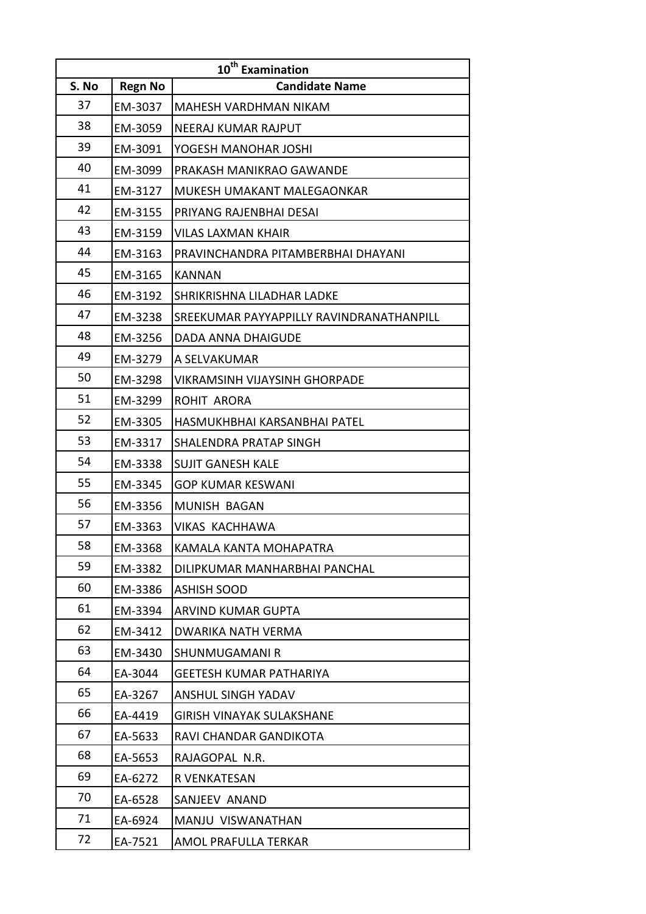|       | 10 <sup>th</sup> Examination |                                          |  |  |  |
|-------|------------------------------|------------------------------------------|--|--|--|
| S. No | <b>Regn No</b>               | <b>Candidate Name</b>                    |  |  |  |
| 37    | EM-3037                      | MAHESH VARDHMAN NIKAM                    |  |  |  |
| 38    | EM-3059                      | NEERAJ KUMAR RAJPUT                      |  |  |  |
| 39    | EM-3091                      | YOGESH MANOHAR JOSHI                     |  |  |  |
| 40    | EM-3099                      | PRAKASH MANIKRAO GAWANDE                 |  |  |  |
| 41    | EM-3127                      | MUKESH UMAKANT MALEGAONKAR               |  |  |  |
| 42    | EM-3155                      | PRIYANG RAJENBHAI DESAI                  |  |  |  |
| 43    | EM-3159                      | VILAS LAXMAN KHAIR                       |  |  |  |
| 44    | EM-3163                      | PRAVINCHANDRA PITAMBERBHAI DHAYANI       |  |  |  |
| 45    | EM-3165                      | <b>KANNAN</b>                            |  |  |  |
| 46    | EM-3192                      | SHRIKRISHNA LILADHAR LADKE               |  |  |  |
| 47    | EM-3238                      | SREEKUMAR PAYYAPPILLY RAVINDRANATHANPILL |  |  |  |
| 48    | EM-3256                      | DADA ANNA DHAIGUDE                       |  |  |  |
| 49    | EM-3279                      | A SELVAKUMAR                             |  |  |  |
| 50    | EM-3298                      | <b>VIKRAMSINH VIJAYSINH GHORPADE</b>     |  |  |  |
| 51    | EM-3299                      | ROHIT ARORA                              |  |  |  |
| 52    | EM-3305                      | HASMUKHBHAI KARSANBHAI PATEL             |  |  |  |
| 53    | EM-3317                      | SHALENDRA PRATAP SINGH                   |  |  |  |
| 54    | EM-3338                      | <b>SUJIT GANESH KALE</b>                 |  |  |  |
| 55    | EM-3345                      | <b>GOP KUMAR KESWANI</b>                 |  |  |  |
| 56    | EM-3356                      | MUNISH BAGAN                             |  |  |  |
| 57    | EM-3363                      | <b>VIKAS KACHHAWA</b>                    |  |  |  |
| 58    | EM-3368                      | KAMALA KANTA MOHAPATRA                   |  |  |  |
| 59    | EM-3382                      | DILIPKUMAR MANHARBHAI PANCHAL            |  |  |  |
| 60    | EM-3386                      | <b>ASHISH SOOD</b>                       |  |  |  |
| 61    | EM-3394                      | <b>ARVIND KUMAR GUPTA</b>                |  |  |  |
| 62    | EM-3412                      | DWARIKA NATH VERMA                       |  |  |  |
| 63    | EM-3430                      | SHUNMUGAMANI R                           |  |  |  |
| 64    | EA-3044                      | <b>GEETESH KUMAR PATHARIYA</b>           |  |  |  |
| 65    | EA-3267                      | <b>ANSHUL SINGH YADAV</b>                |  |  |  |
| 66    | EA-4419                      | <b>GIRISH VINAYAK SULAKSHANE</b>         |  |  |  |
| 67    | EA-5633                      | RAVI CHANDAR GANDIKOTA                   |  |  |  |
| 68    | EA-5653                      | RAJAGOPAL N.R.                           |  |  |  |
| 69    | EA-6272                      | R VENKATESAN                             |  |  |  |
| 70    | EA-6528                      | SANJEEV ANAND                            |  |  |  |
| 71    | EA-6924                      | MANJU VISWANATHAN                        |  |  |  |
| 72    | EA-7521                      | AMOL PRAFULLA TERKAR                     |  |  |  |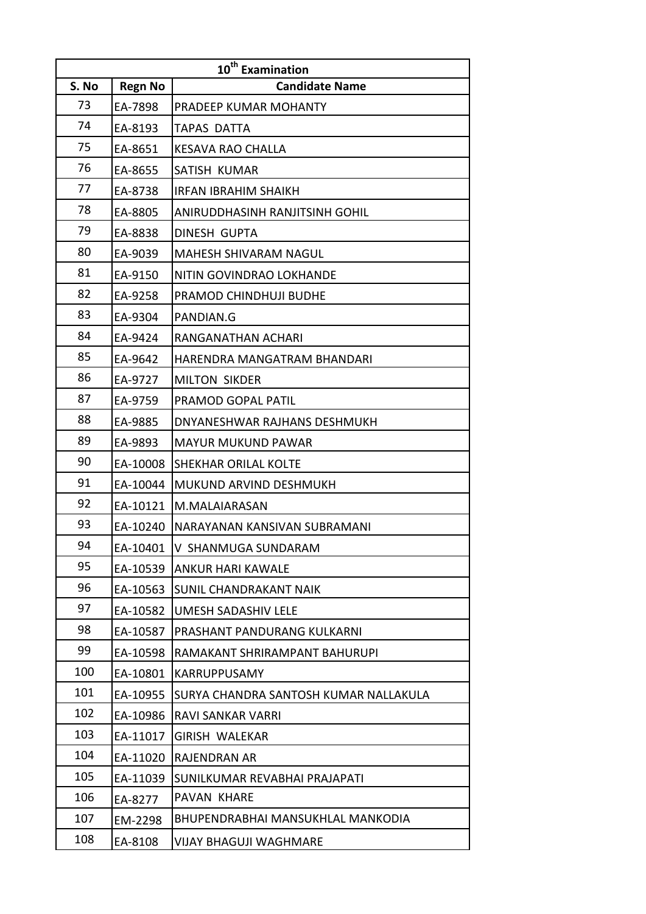|       | 10 <sup>th</sup> Examination |                                       |  |  |  |
|-------|------------------------------|---------------------------------------|--|--|--|
| S. No | <b>Regn No</b>               | <b>Candidate Name</b>                 |  |  |  |
| 73    | EA-7898                      | PRADEEP KUMAR MOHANTY                 |  |  |  |
| 74    | EA-8193                      | TAPAS DATTA                           |  |  |  |
| 75    | EA-8651                      | <b>KESAVA RAO CHALLA</b>              |  |  |  |
| 76    | EA-8655                      | SATISH KUMAR                          |  |  |  |
| 77    | EA-8738                      | <b>IRFAN IBRAHIM SHAIKH</b>           |  |  |  |
| 78    | EA-8805                      | ANIRUDDHASINH RANJITSINH GOHIL        |  |  |  |
| 79    | EA-8838                      | DINESH GUPTA                          |  |  |  |
| 80    | EA-9039                      | <b>MAHESH SHIVARAM NAGUL</b>          |  |  |  |
| 81    | EA-9150                      | NITIN GOVINDRAO LOKHANDE              |  |  |  |
| 82    | EA-9258                      | PRAMOD CHINDHUJI BUDHE                |  |  |  |
| 83    | EA-9304                      | PANDIAN.G                             |  |  |  |
| 84    | EA-9424                      | RANGANATHAN ACHARI                    |  |  |  |
| 85    | EA-9642                      | HARENDRA MANGATRAM BHANDARI           |  |  |  |
| 86    | EA-9727                      | <b>MILTON SIKDER</b>                  |  |  |  |
| 87    | EA-9759                      | PRAMOD GOPAL PATIL                    |  |  |  |
| 88    | EA-9885                      | DNYANESHWAR RAJHANS DESHMUKH          |  |  |  |
| 89    | EA-9893                      | <b>MAYUR MUKUND PAWAR</b>             |  |  |  |
| 90    | EA-10008                     | SHEKHAR ORILAL KOLTE                  |  |  |  |
| 91    | EA-10044                     | MUKUND ARVIND DESHMUKH                |  |  |  |
| 92    | EA-10121                     | M.MALAIARASAN                         |  |  |  |
| 93    | EA-10240                     | NARAYANAN KANSIVAN SUBRAMANI          |  |  |  |
| 94    | EA-10401                     | IV SHANMUGA SUNDARAM                  |  |  |  |
| 95    | EA-10539                     | ANKUR HARI KAWALE                     |  |  |  |
| 96    | EA-10563                     | SUNIL CHANDRAKANT NAIK                |  |  |  |
| 97    | EA-10582                     | <b>UMESH SADASHIV LELE</b>            |  |  |  |
| 98    | EA-10587                     | PRASHANT PANDURANG KULKARNI           |  |  |  |
| 99    | EA-10598                     | RAMAKANT SHRIRAMPANT BAHURUPI         |  |  |  |
| 100   | EA-10801                     | KARRUPPUSAMY                          |  |  |  |
| 101   | EA-10955                     | SURYA CHANDRA SANTOSH KUMAR NALLAKULA |  |  |  |
| 102   | EA-10986                     | RAVI SANKAR VARRI                     |  |  |  |
| 103   | EA-11017                     | GIRISH WALEKAR                        |  |  |  |
| 104   | EA-11020                     | <b>RAJENDRAN AR</b>                   |  |  |  |
| 105   | EA-11039                     | SUNILKUMAR REVABHAI PRAJAPATI         |  |  |  |
| 106   | EA-8277                      | PAVAN KHARE                           |  |  |  |
| 107   | EM-2298                      | BHUPENDRABHAI MANSUKHLAL MANKODIA     |  |  |  |
| 108   | EA-8108                      | VIJAY BHAGUJI WAGHMARE                |  |  |  |